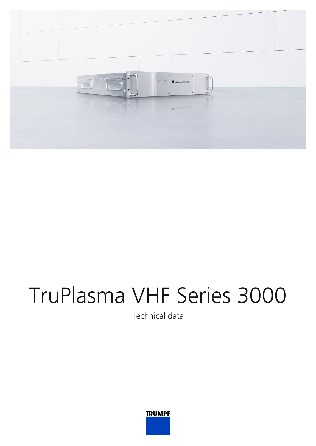

## TruPlasma VHF Series 3000

Technical data

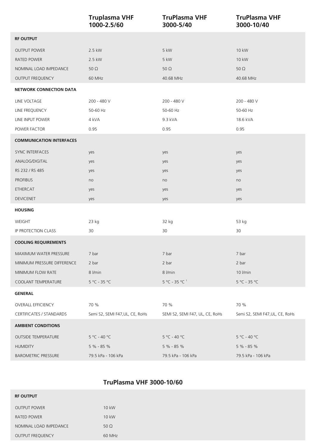|                                 | <b>Truplasma VHF</b><br>1000-2.5/60 | <b>TruPlasma VHF</b><br>3000-5/40  | <b>TruPlasma VHF</b><br>3000-10/40 |
|---------------------------------|-------------------------------------|------------------------------------|------------------------------------|
| <b>RF OUTPUT</b>                |                                     |                                    |                                    |
| <b>OUTPUT POWER</b>             | 2.5 kW                              | 5 kW                               | 10 kW                              |
| RATED POWER                     | 2.5 kW                              | 5 kW                               | 10 kW                              |
| NOMINAL LOAD IMPEDANCE          | $50\Omega$                          | 50 $\Omega$                        | 50 $\Omega$                        |
| OUTPUT FREQUENCY                | 60 MHz                              | 40.68 MHz                          | 40.68 MHz                          |
| <b>NETWORK CONNECTION DATA</b>  |                                     |                                    |                                    |
| LINE VOLTAGE                    | 200 - 480 V                         | 200 - 480 V                        | 200 - 480 V                        |
| LINE FREQUENCY                  | 50-60 Hz                            | 50-60 Hz                           | 50-60 Hz                           |
| LINE INPUT POWER                | 4 kVA                               | 9.3 kVA                            | 18.6 kVA                           |
| POWER FACTOR                    | 0.95                                | 0.95                               | 0.95                               |
| <b>COMMUNICATION INTERFACES</b> |                                     |                                    |                                    |
| <b>SYNC INTERFACES</b>          | yes                                 | yes                                | yes                                |
| ANALOG/DIGITAL                  | yes                                 | yes                                | yes                                |
| RS 232 / RS 485                 | yes                                 | yes                                | yes                                |
| <b>PROFIBUS</b>                 | no                                  | no                                 | no                                 |
| ETHERCAT                        | yes                                 | yes                                | yes                                |
| <b>DEVICENET</b>                | yes                                 | yes                                | yes                                |
| <b>HOUSING</b>                  |                                     |                                    |                                    |
| WEIGHT                          | 23 kg                               | 32 kg                              | 53 kg                              |
| IP PROTECTION CLASS             | 30                                  | 30                                 | 30                                 |
| <b>COOLING REQUIREMENTS</b>     |                                     |                                    |                                    |
| MAXIMUM WATER PRESSURE          | 7 bar                               | 7 bar                              | 7 bar                              |
| MINIMUM PRESSURE DIFFERENCE     | 2 bar                               | 2 bar                              | 2 bar                              |
| MINIMUM FLOW RATE               | 8 l/min                             | 8 l/min                            | 10 l/min                           |
| COOLANT TEMPERATURE             | $5 °C - 35 °C$                      | $5^{\circ}$ C - 35 °C <sup>1</sup> | 5 °C - 35 °C                       |
| <b>GENERAL</b>                  |                                     |                                    |                                    |
| <b>OVERALL EFFICIENCY</b>       | 70 %                                | 70 %                               | 70 %                               |
| <b>CERTIFICATES / STANDARDS</b> | Semi S2, SEMI F47, UL, CE, RoHs     | SEMI S2, SEMI F47, UL, CE, RoHs    | Semi S2, SEMI F47, UL, CE, RoHs    |
| <b>AMBIENT CONDITIONS</b>       |                                     |                                    |                                    |
| <b>OUTSIDE TEMPERATURE</b>      | $5 °C - 40 °C$                      | $5 °C - 40 °C$                     | 5 °C - 40 °C                       |
| <b>HUMIDITY</b>                 | 5 % - 85 %                          | $5% - 85%$                         | 5 % - 85 %                         |
| <b>BAROMETRIC PRESSURE</b>      | 79.5 kPa - 106 kPa                  | 79.5 kPa - 106 kPa                 | 79.5 kPa - 106 kPa                 |

## **TruPlasma VHF 3000-10/60**

| <b>RF OUTPUT</b>       |             |
|------------------------|-------------|
| <b>OUTPUT POWER</b>    | 10 kW       |
| RATED POWER            | 10 kW       |
| NOMINAL LOAD IMPEDANCE | 50 $\Omega$ |
| OUTPUT FREQUENCY       | 60 MHz      |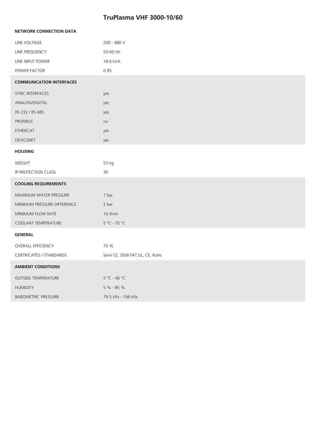## **TruPlasma VHF 3000-10/60**

| <b>NETWORK CONNECTION DATA</b>  |                                 |  |
|---------------------------------|---------------------------------|--|
| LINE VOLTAGE                    | 200 - 480 V                     |  |
| LINE FREQUENCY                  | 50-60 Hz                        |  |
| LINE INPUT POWER                | 18.6 kVA                        |  |
| POWER FACTOR                    | 0.95                            |  |
| <b>COMMUNICATION INTERFACES</b> |                                 |  |
| <b>SYNC INTERFACES</b>          | yes                             |  |
| ANALOG/DIGITAL                  | yes                             |  |
| RS 232 / RS 485                 | yes                             |  |
| <b>PROFIBUS</b>                 | no                              |  |
| <b>ETHERCAT</b>                 | yes                             |  |
| <b>DEVICENET</b>                | yes                             |  |
| <b>HOUSING</b>                  |                                 |  |
| WEIGHT                          | 53 kg                           |  |
| IP PROTECTION CLASS             | 30                              |  |
| <b>COOLING REQUIREMENTS</b>     |                                 |  |
| MAXIMUM WATER PRESSURE          | 7 bar                           |  |
| MINIMUM PRESSURE DIFFERENCE     | 2 bar                           |  |
| MINIMUM FLOW RATE               | 10 l/min                        |  |
| COOLANT TEMPERATURE             | $5 °C - 35 °C$                  |  |
| <b>GENERAL</b>                  |                                 |  |
| <b>OVERALL EFFICIENCY</b>       | 70 %                            |  |
| CERTIFICATES / STANDARDS        | Semi S2, SEMI F47, UL, CE, RoHs |  |
| <b>AMBIENT CONDITIONS</b>       |                                 |  |
| <b>OUTSIDE TEMPERATURE</b>      | $5 °C - 40 °C$                  |  |
| <b>HUMIDITY</b>                 | 5 % - 85 %                      |  |
| <b>BAROMETRIC PRESSURE</b>      | 79.5 kPa - 106 kPa              |  |